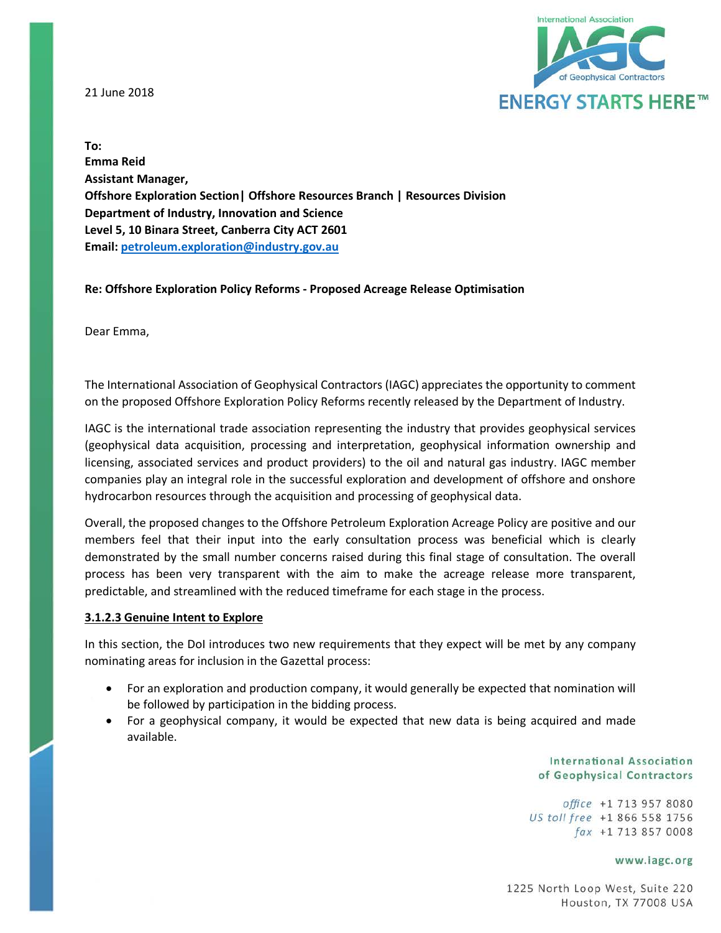21 June 2018



**To: Emma Reid Assistant Manager, Offshore Exploration Section| Offshore Resources Branch | Resources Division Department of Industry, Innovation and Science Level 5, 10 Binara Street, Canberra City ACT 2601 Email[: petroleum.exploration@industry.gov.au](mailto:petroleum.exploration@industry.gov.au)**

### **Re: Offshore Exploration Policy Reforms - Proposed Acreage Release Optimisation**

Dear Emma,

The International Association of Geophysical Contractors (IAGC) appreciates the opportunity to comment on the proposed Offshore Exploration Policy Reforms recently released by the Department of Industry.

IAGC is the international trade association representing the industry that provides geophysical services (geophysical data acquisition, processing and interpretation, geophysical information ownership and licensing, associated services and product providers) to the oil and natural gas industry. IAGC member companies play an integral role in the successful exploration and development of offshore and onshore hydrocarbon resources through the acquisition and processing of geophysical data.

Overall, the proposed changes to the Offshore Petroleum Exploration Acreage Policy are positive and our members feel that their input into the early consultation process was beneficial which is clearly demonstrated by the small number concerns raised during this final stage of consultation. The overall process has been very transparent with the aim to make the acreage release more transparent, predictable, and streamlined with the reduced timeframe for each stage in the process.

### **3.1.2.3 Genuine Intent to Explore**

In this section, the DoI introduces two new requirements that they expect will be met by any company nominating areas for inclusion in the Gazettal process:

- For an exploration and production company, it would generally be expected that nomination will be followed by participation in the bidding process.
- For a geophysical company, it would be expected that new data is being acquired and made available.

**International Association** of Geophysical Contractors

office +1 713 957 8080 US toll free +1 866 558 1756 fax +1 713 857 0008

#### www.iagc.org

1225 North Loop West, Suite 220 Houston, TX 77008 USA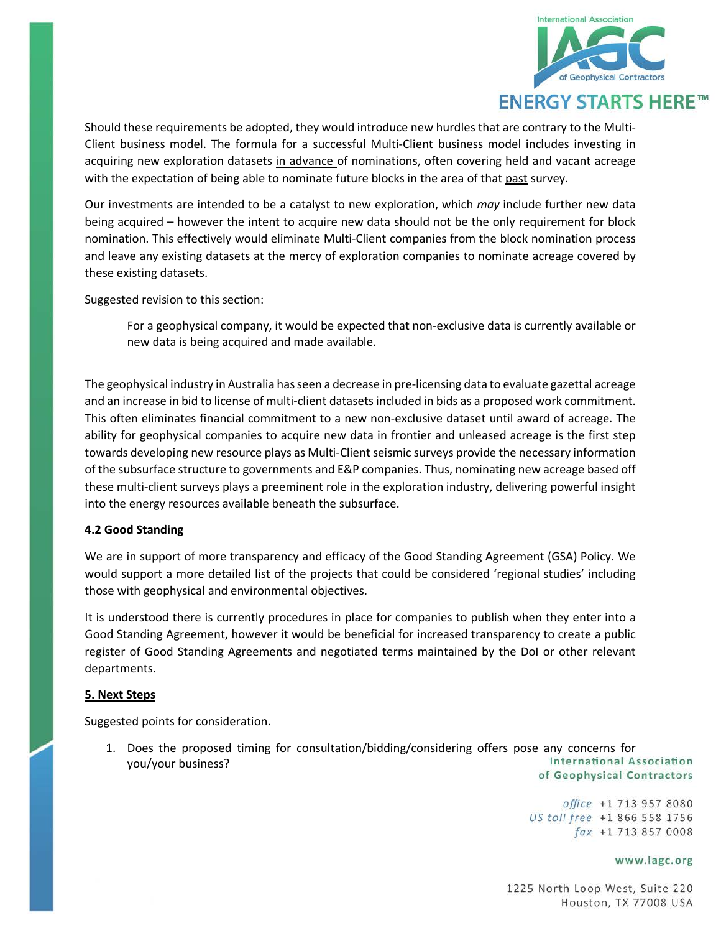

Should these requirements be adopted, they would introduce new hurdles that are contrary to the Multi-Client business model. The formula for a successful Multi-Client business model includes investing in acquiring new exploration datasets in advance of nominations, often covering held and vacant acreage with the expectation of being able to nominate future blocks in the area of that past survey.

Our investments are intended to be a catalyst to new exploration, which *may* include further new data being acquired – however the intent to acquire new data should not be the only requirement for block nomination. This effectively would eliminate Multi-Client companies from the block nomination process and leave any existing datasets at the mercy of exploration companies to nominate acreage covered by these existing datasets.

Suggested revision to this section:

For a geophysical company, it would be expected that non-exclusive data is currently available or new data is being acquired and made available.

The geophysical industry in Australia has seen a decrease in pre-licensing data to evaluate gazettal acreage and an increase in bid to license of multi-client datasets included in bids as a proposed work commitment. This often eliminates financial commitment to a new non-exclusive dataset until award of acreage. The ability for geophysical companies to acquire new data in frontier and unleased acreage is the first step towards developing new resource plays as Multi-Client seismic surveys provide the necessary information of the subsurface structure to governments and E&P companies. Thus, nominating new acreage based off these multi-client surveys plays a preeminent role in the exploration industry, delivering powerful insight into the energy resources available beneath the subsurface.

## **4.2 Good Standing**

We are in support of more transparency and efficacy of the Good Standing Agreement (GSA) Policy. We would support a more detailed list of the projects that could be considered 'regional studies' including those with geophysical and environmental objectives.

It is understood there is currently procedures in place for companies to publish when they enter into a Good Standing Agreement, however it would be beneficial for increased transparency to create a public register of Good Standing Agreements and negotiated terms maintained by the DoI or other relevant departments.

### **5. Next Steps**

Suggested points for consideration.

1. Does the proposed timing for consultation/bidding/considering offers pose any concerns for **International Association** you/your business?of Geophysical Contractors

> office +1 713 957 8080 US toll free +1 866 558 1756 fax +1 713 857 0008

### www.iagc.org

1225 North Loop West, Suite 220 Houston, TX 77008 USA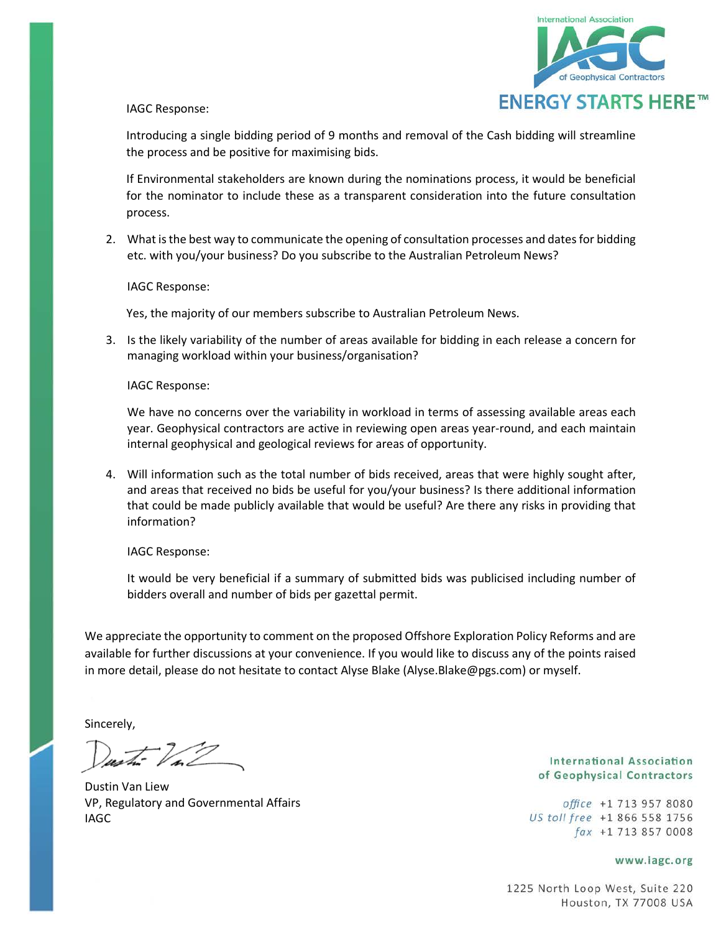

IAGC Response:

Introducing a single bidding period of 9 months and removal of the Cash bidding will streamline the process and be positive for maximising bids.

If Environmental stakeholders are known during the nominations process, it would be beneficial for the nominator to include these as a transparent consideration into the future consultation process.

2. What is the best way to communicate the opening of consultation processes and dates for bidding etc. with you/your business? Do you subscribe to the Australian Petroleum News?

IAGC Response:

Yes, the majority of our members subscribe to Australian Petroleum News.

3. Is the likely variability of the number of areas available for bidding in each release a concern for managing workload within your business/organisation?

IAGC Response:

We have no concerns over the variability in workload in terms of assessing available areas each year. Geophysical contractors are active in reviewing open areas year-round, and each maintain internal geophysical and geological reviews for areas of opportunity.

4. Will information such as the total number of bids received, areas that were highly sought after, and areas that received no bids be useful for you/your business? Is there additional information that could be made publicly available that would be useful? Are there any risks in providing that information?

IAGC Response:

It would be very beneficial if a summary of submitted bids was publicised including number of bidders overall and number of bids per gazettal permit.

We appreciate the opportunity to comment on the proposed Offshore Exploration Policy Reforms and are available for further discussions at your convenience. If you would like to discuss any of the points raised in more detail, please do not hesitate to contact Alyse Blake (Alyse.Blake@pgs.com) or myself.

Sincerely,

Dustin Van Liew VP, Regulatory and Governmental Affairs IAGC

**International Association** of Geophysical Contractors

office +1 713 957 8080 US toll free +1 866 558 1756 fax +1 713 857 0008

www.iagc.org

1225 North Loop West, Suite 220 Houston, TX 77008 USA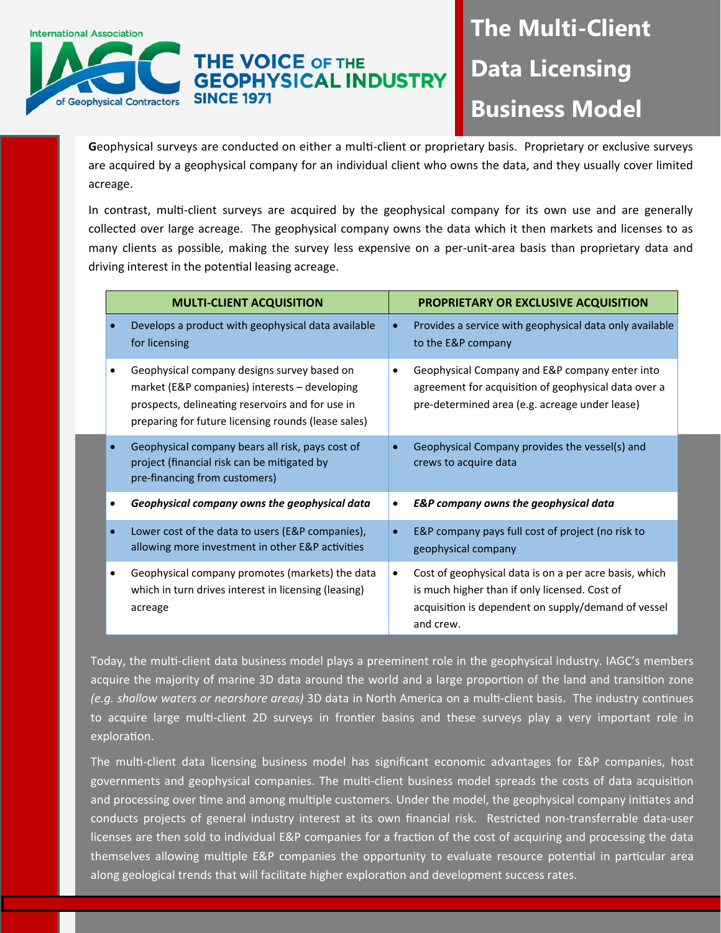## **THE VOICE OF THE GEOPHYSICAL INDUSTRY SINCE 1971** of Geophysical Contractors

**International Association** 

# **The Multi-Client Data Licensing Business Model**

Geophysical surveys are conducted on either a multi-client or proprietary basis. Proprietary or exclusive surveys are acquired by a geophysical company for an individual client who owns the data, and they usually cover limited acreage.

In contrast, multi-client surveys are acquired by the geophysical company for its own use and are generally collected over large acreage. The geophysical company owns the data which it then markets and licenses to as many clients as possible, making the survey less expensive on a per-unit-area basis than proprietary data and driving interest in the potential leasing acreage.

| <b>MULTI-CLIENT ACQUISITION</b> |                                                                                                                                                                                                         | PROPRIETARY OR EXCLUSIVE ACQUISITION |                                                                                                                                                                             |
|---------------------------------|---------------------------------------------------------------------------------------------------------------------------------------------------------------------------------------------------------|--------------------------------------|-----------------------------------------------------------------------------------------------------------------------------------------------------------------------------|
|                                 | Develops a product with geophysical data available<br>for licensing                                                                                                                                     | $\bullet$                            | Provides a service with geophysical data only available<br>to the E&P company                                                                                               |
|                                 | Geophysical company designs survey based on<br>market (E&P companies) interests - developing<br>prospects, delineating reservoirs and for use in<br>preparing for future licensing rounds (lease sales) | $\bullet$                            | Geophysical Company and E&P company enter into<br>agreement for acquisition of geophysical data over a<br>pre-determined area (e.g. acreage under lease)                    |
|                                 | Geophysical company bears all risk, pays cost of<br>project (financial risk can be mitigated by<br>pre-financing from customers)                                                                        |                                      | Geophysical Company provides the vessel(s) and<br>crews to acquire data                                                                                                     |
|                                 | Geophysical company owns the geophysical data                                                                                                                                                           |                                      | <b>E&amp;P</b> company owns the geophysical data                                                                                                                            |
|                                 | Lower cost of the data to users (E&P companies),<br>allowing more investment in other E&P activities                                                                                                    | $\bullet$                            | E&P company pays full cost of project (no risk to<br>geophysical company                                                                                                    |
|                                 | Geophysical company promotes (markets) the data<br>which in turn drives interest in licensing (leasing)<br>acreage                                                                                      | $\bullet$                            | Cost of geophysical data is on a per acre basis, which<br>is much higher than if only licensed. Cost of<br>acquisition is dependent on supply/demand of vessel<br>and crew. |

Today, the multi-client data business model plays a preeminent role in the geophysical industry. IAGC's members acquire the majority of marine 3D data around the world and a large proportion of the land and transition zone *(e.g. shallow waters or nearshore areas)* 3D data in North America on a multi-client basis. The industry continues to acquire large multi-client 2D surveys in frontier basins and these surveys play a very important role in exploration.

The multi-client data licensing business model has significant economic advantages for E&P companies, host governments and geophysical companies. The multi-client business model spreads the costs of data acquisition and processing over time and among multiple customers. Under the model, the geophysical company initiates and conducts projects of general industry interest at its own financial risk. Restricted non‐transferrable data‐user licenses are then sold to individual E&P companies for a fraction of the cost of acquiring and processing the data themselves allowing multiple E&P companies the opportunity to evaluate resource potential in particular area along geological trends that will facilitate higher exploration and development success rates.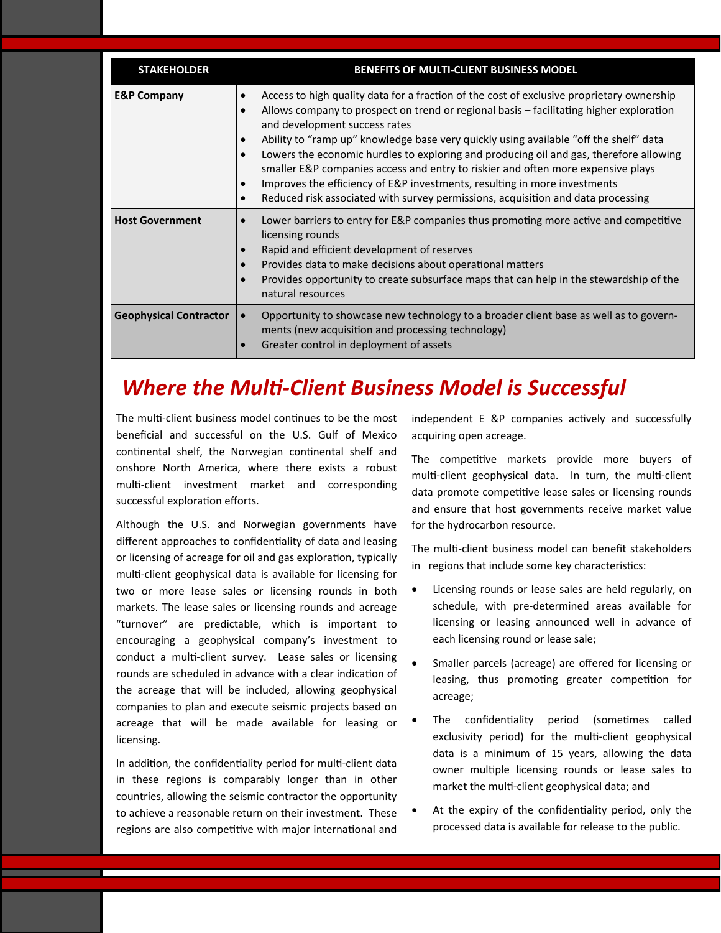| <b>STAKEHOLDER</b>            | <b>BENEFITS OF MULTI-CLIENT BUSINESS MODEL</b>                                                                                                                                                                                                                                                                                                                                                                                                                                                                                                                                                                                                                                                       |
|-------------------------------|------------------------------------------------------------------------------------------------------------------------------------------------------------------------------------------------------------------------------------------------------------------------------------------------------------------------------------------------------------------------------------------------------------------------------------------------------------------------------------------------------------------------------------------------------------------------------------------------------------------------------------------------------------------------------------------------------|
| <b>E&amp;P Company</b>        | Access to high quality data for a fraction of the cost of exclusive proprietary ownership<br>Allows company to prospect on trend or regional basis – facilitating higher exploration<br>and development success rates<br>Ability to "ramp up" knowledge base very quickly using available "off the shelf" data<br>$\bullet$<br>Lowers the economic hurdles to exploring and producing oil and gas, therefore allowing<br>$\bullet$<br>smaller E&P companies access and entry to riskier and often more expensive plays<br>Improves the efficiency of E&P investments, resulting in more investments<br>$\bullet$<br>Reduced risk associated with survey permissions, acquisition and data processing |
| <b>Host Government</b>        | Lower barriers to entry for E&P companies thus promoting more active and competitive<br>$\bullet$<br>licensing rounds<br>Rapid and efficient development of reserves<br>$\bullet$<br>Provides data to make decisions about operational matters<br>$\bullet$<br>Provides opportunity to create subsurface maps that can help in the stewardship of the<br>natural resources                                                                                                                                                                                                                                                                                                                           |
| <b>Geophysical Contractor</b> | Opportunity to showcase new technology to a broader client base as well as to govern-<br>$\bullet$<br>ments (new acquisition and processing technology)<br>Greater control in deployment of assets                                                                                                                                                                                                                                                                                                                                                                                                                                                                                                   |

## *Where the MulƟ‐Client Business Model is Successful*

The multi-client business model continues to be the most beneficial and successful on the U.S. Gulf of Mexico continental shelf, the Norwegian continental shelf and onshore North America, where there exists a robust multi-client investment market and corresponding successful exploration efforts.

Although the U.S. and Norwegian governments have different approaches to confidentiality of data and leasing or licensing of acreage for oil and gas exploration, typically multi-client geophysical data is available for licensing for two or more lease sales or licensing rounds in both markets. The lease sales or licensing rounds and acreage "turnover" are predictable, which is important to encouraging a geophysical company's investment to conduct a multi-client survey. Lease sales or licensing rounds are scheduled in advance with a clear indication of the acreage that will be included, allowing geophysical companies to plan and execute seismic projects based on acreage that will be made available for leasing or licensing.

In addition, the confidentiality period for multi-client data in these regions is comparably longer than in other countries, allowing the seismic contractor the opportunity to achieve a reasonable return on their investment. These regions are also competitive with major international and independent E &P companies actively and successfully acquiring open acreage.

The competitive markets provide more buyers of multi-client geophysical data. In turn, the multi-client data promote competitive lease sales or licensing rounds and ensure that host governments receive market value for the hydrocarbon resource.

The multi-client business model can benefit stakeholders in regions that include some key characteristics:

- Licensing rounds or lease sales are held regularly, on schedule, with pre‐determined areas available for licensing or leasing announced well in advance of each licensing round or lease sale;
- Smaller parcels (acreage) are offered for licensing or leasing, thus promoting greater competition for acreage;
- The confidentiality period (sometimes called exclusivity period) for the multi-client geophysical data is a minimum of 15 years, allowing the data owner multiple licensing rounds or lease sales to market the multi-client geophysical data; and
- At the expiry of the confidentiality period, only the processed data is available for release to the public.